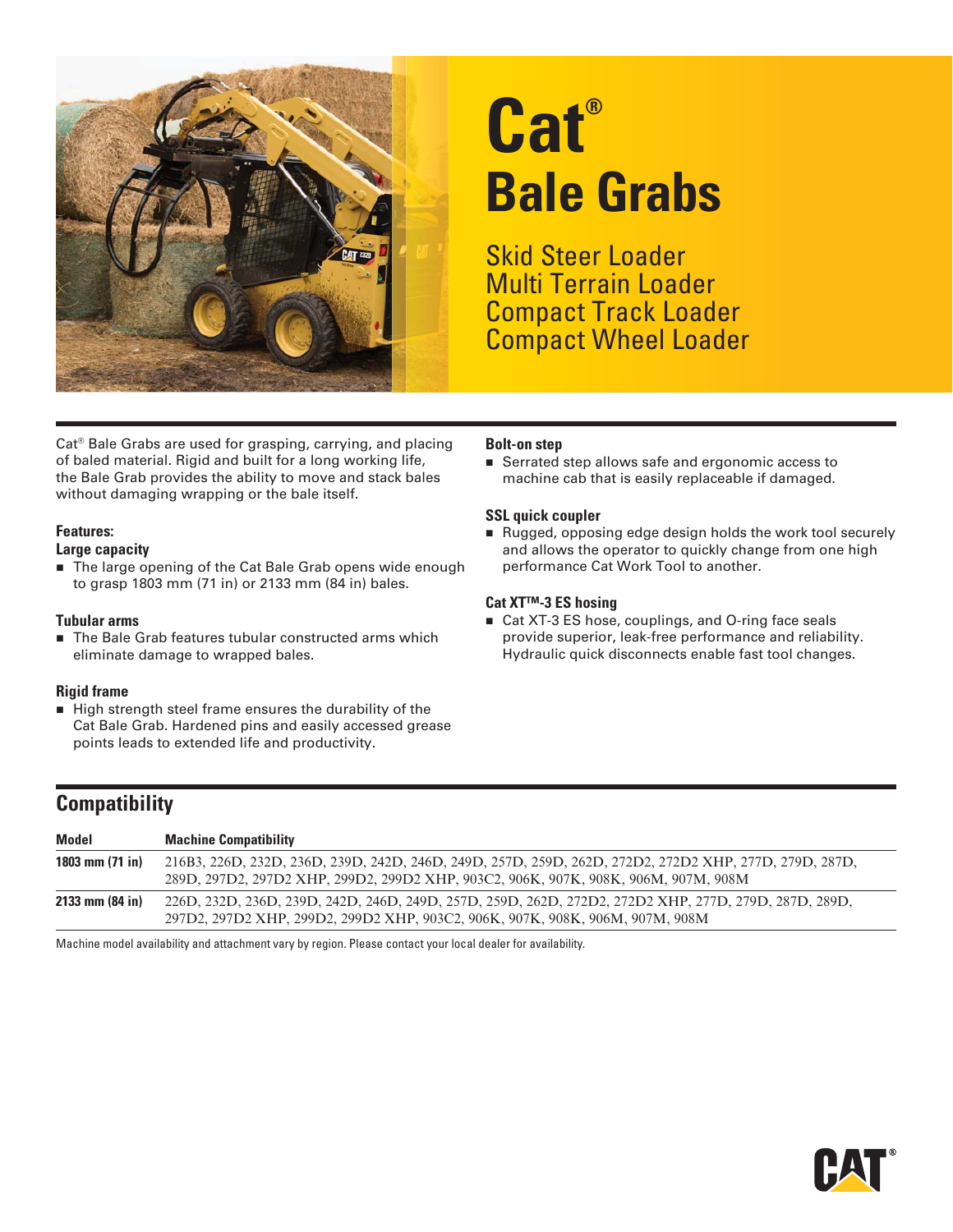

# **Cat® Bale Grabs**

Skid Steer Loader Multi Terrain Loader Compact Track Loader Compact Wheel Loader

Cat® Bale Grabs are used for grasping, carrying, and placing of baled material. Rigid and built for a long working life, the Bale Grab provides the ability to move and stack bales without damaging wrapping or the bale itself.

#### **Features:**

#### **Large capacity**

■ The large opening of the Cat Bale Grab opens wide enough to grasp 1803 mm (71 in) or 2133 mm (84 in) bales.

#### **Tubular arms**

■ The Bale Grab features tubular constructed arms which eliminate damage to wrapped bales.

#### **Rigid frame**

High strength steel frame ensures the durability of the Cat Bale Grab. Hardened pins and easily accessed grease points leads to extended life and productivity.

#### **Bolt-on step**

Serrated step allows safe and ergonomic access to machine cab that is easily replaceable if damaged.

#### **SSL quick coupler**

Rugged, opposing edge design holds the work tool securely and allows the operator to quickly change from one high performance Cat Work Tool to another.

#### **Cat XT™-3 ES hosing**

■ Cat XT-3 ES hose, couplings, and O-ring face seals provide superior, leak-free performance and reliability. Hydraulic quick disconnects enable fast tool changes.

### **Compatibility**

| <b>Model</b>        | <b>Machine Compatibility</b>                                                                                                                                                                  |
|---------------------|-----------------------------------------------------------------------------------------------------------------------------------------------------------------------------------------------|
| 1803 mm $(71$ in)   | 216B3, 226D, 232D, 236D, 239D, 242D, 246D, 249D, 257D, 259D, 262D, 272D2, 272D2 XHP, 277D, 279D, 287D,<br>289D, 297D2, 297D2 XHP, 299D2, 299D2 XHP, 903C2, 906K, 907K, 908K, 906M, 907M, 908M |
| $2133$ mm $(84)$ in | .226D, 232D, 236D, 239D, 242D, 246D, 249D, 257D, 259D, 262D, 272D2, 272D2 XHP, 277D, 279D, 287D, 289D,<br>297D2, 297D2 XHP, 299D2, 299D2 XHP, 903C2, 906K, 907K, 908K, 906M, 907M, 908M       |

Machine model availability and attachment vary by region. Please contact your local dealer for availability.